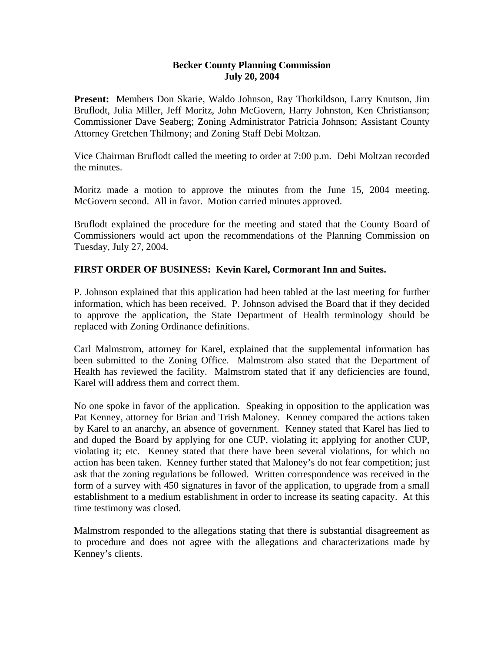## **Becker County Planning Commission July 20, 2004**

**Present:** Members Don Skarie, Waldo Johnson, Ray Thorkildson, Larry Knutson, Jim Bruflodt, Julia Miller, Jeff Moritz, John McGovern, Harry Johnston, Ken Christianson; Commissioner Dave Seaberg; Zoning Administrator Patricia Johnson; Assistant County Attorney Gretchen Thilmony; and Zoning Staff Debi Moltzan.

Vice Chairman Bruflodt called the meeting to order at 7:00 p.m. Debi Moltzan recorded the minutes.

Moritz made a motion to approve the minutes from the June 15, 2004 meeting. McGovern second. All in favor. Motion carried minutes approved.

Bruflodt explained the procedure for the meeting and stated that the County Board of Commissioners would act upon the recommendations of the Planning Commission on Tuesday, July 27, 2004.

## **FIRST ORDER OF BUSINESS: Kevin Karel, Cormorant Inn and Suites.**

P. Johnson explained that this application had been tabled at the last meeting for further information, which has been received. P. Johnson advised the Board that if they decided to approve the application, the State Department of Health terminology should be replaced with Zoning Ordinance definitions.

Carl Malmstrom, attorney for Karel, explained that the supplemental information has been submitted to the Zoning Office. Malmstrom also stated that the Department of Health has reviewed the facility. Malmstrom stated that if any deficiencies are found, Karel will address them and correct them.

No one spoke in favor of the application. Speaking in opposition to the application was Pat Kenney, attorney for Brian and Trish Maloney. Kenney compared the actions taken by Karel to an anarchy, an absence of government. Kenney stated that Karel has lied to and duped the Board by applying for one CUP, violating it; applying for another CUP, violating it; etc. Kenney stated that there have been several violations, for which no action has been taken. Kenney further stated that Maloney's do not fear competition; just ask that the zoning regulations be followed. Written correspondence was received in the form of a survey with 450 signatures in favor of the application, to upgrade from a small establishment to a medium establishment in order to increase its seating capacity. At this time testimony was closed.

Malmstrom responded to the allegations stating that there is substantial disagreement as to procedure and does not agree with the allegations and characterizations made by Kenney's clients.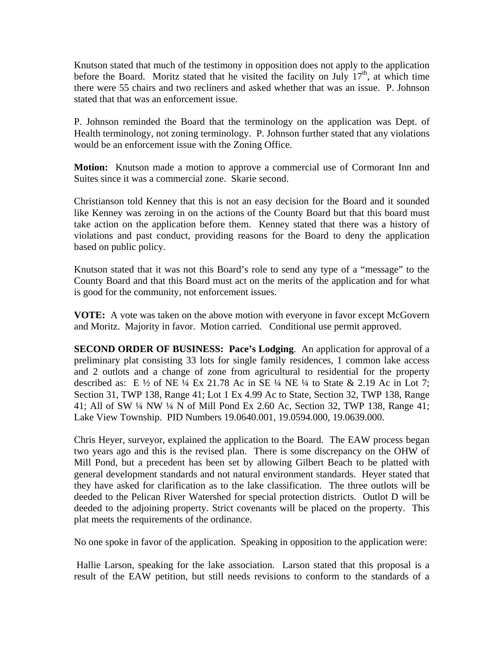Knutson stated that much of the testimony in opposition does not apply to the application before the Board. Moritz stated that he visited the facility on July  $17<sup>th</sup>$ , at which time there were 55 chairs and two recliners and asked whether that was an issue. P. Johnson stated that that was an enforcement issue.

P. Johnson reminded the Board that the terminology on the application was Dept. of Health terminology, not zoning terminology. P. Johnson further stated that any violations would be an enforcement issue with the Zoning Office.

**Motion:** Knutson made a motion to approve a commercial use of Cormorant Inn and Suites since it was a commercial zone. Skarie second.

Christianson told Kenney that this is not an easy decision for the Board and it sounded like Kenney was zeroing in on the actions of the County Board but that this board must take action on the application before them. Kenney stated that there was a history of violations and past conduct, providing reasons for the Board to deny the application based on public policy.

Knutson stated that it was not this Board's role to send any type of a "message" to the County Board and that this Board must act on the merits of the application and for what is good for the community, not enforcement issues.

**VOTE:** A vote was taken on the above motion with everyone in favor except McGovern and Moritz. Majority in favor. Motion carried. Conditional use permit approved.

**SECOND ORDER OF BUSINESS: Pace's Lodging**. An application for approval of a preliminary plat consisting 33 lots for single family residences, 1 common lake access and 2 outlots and a change of zone from agricultural to residential for the property described as: E  $\frac{1}{2}$  of NE  $\frac{1}{4}$  Ex 21.78 Ac in SE  $\frac{1}{4}$  NE  $\frac{1}{4}$  to State & 2.19 Ac in Lot 7; Section 31, TWP 138, Range 41; Lot 1 Ex 4.99 Ac to State, Section 32, TWP 138, Range 41; All of SW ¼ NW ¼ N of Mill Pond Ex 2.60 Ac, Section 32, TWP 138, Range 41; Lake View Township. PID Numbers 19.0640.001, 19.0594.000, 19.0639.000.

Chris Heyer, surveyor, explained the application to the Board. The EAW process began two years ago and this is the revised plan. There is some discrepancy on the OHW of Mill Pond, but a precedent has been set by allowing Gilbert Beach to be platted with general development standards and not natural environment standards. Heyer stated that they have asked for clarification as to the lake classification. The three outlots will be deeded to the Pelican River Watershed for special protection districts. Outlot D will be deeded to the adjoining property. Strict covenants will be placed on the property. This plat meets the requirements of the ordinance.

No one spoke in favor of the application. Speaking in opposition to the application were:

 Hallie Larson, speaking for the lake association. Larson stated that this proposal is a result of the EAW petition, but still needs revisions to conform to the standards of a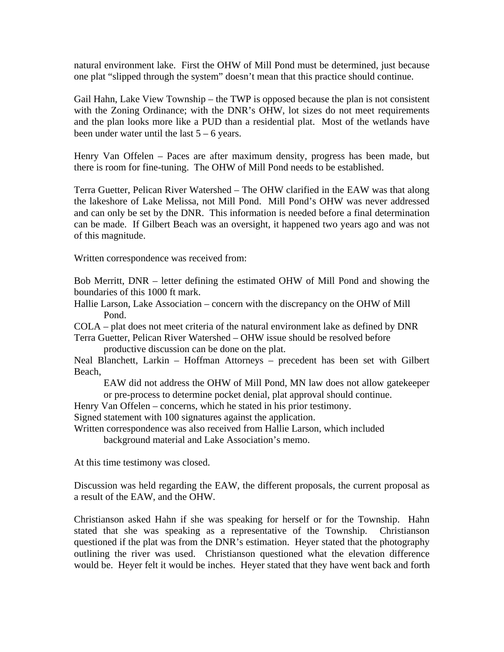natural environment lake. First the OHW of Mill Pond must be determined, just because one plat "slipped through the system" doesn't mean that this practice should continue.

Gail Hahn, Lake View Township – the TWP is opposed because the plan is not consistent with the Zoning Ordinance; with the DNR's OHW, lot sizes do not meet requirements and the plan looks more like a PUD than a residential plat. Most of the wetlands have been under water until the last  $5 - 6$  years.

Henry Van Offelen – Paces are after maximum density, progress has been made, but there is room for fine-tuning. The OHW of Mill Pond needs to be established.

Terra Guetter, Pelican River Watershed – The OHW clarified in the EAW was that along the lakeshore of Lake Melissa, not Mill Pond. Mill Pond's OHW was never addressed and can only be set by the DNR. This information is needed before a final determination can be made. If Gilbert Beach was an oversight, it happened two years ago and was not of this magnitude.

Written correspondence was received from:

Bob Merritt, DNR – letter defining the estimated OHW of Mill Pond and showing the boundaries of this 1000 ft mark.

Hallie Larson, Lake Association – concern with the discrepancy on the OHW of Mill Pond.

COLA – plat does not meet criteria of the natural environment lake as defined by DNR Terra Guetter, Pelican River Watershed – OHW issue should be resolved before

productive discussion can be done on the plat.

Neal Blanchett, Larkin – Hoffman Attorneys – precedent has been set with Gilbert Beach,

EAW did not address the OHW of Mill Pond, MN law does not allow gatekeeper or pre-process to determine pocket denial, plat approval should continue.

Henry Van Offelen – concerns, which he stated in his prior testimony.

Signed statement with 100 signatures against the application.

Written correspondence was also received from Hallie Larson, which included

background material and Lake Association's memo.

At this time testimony was closed.

Discussion was held regarding the EAW, the different proposals, the current proposal as a result of the EAW, and the OHW.

Christianson asked Hahn if she was speaking for herself or for the Township. Hahn stated that she was speaking as a representative of the Township. Christianson questioned if the plat was from the DNR's estimation. Heyer stated that the photography outlining the river was used. Christianson questioned what the elevation difference would be. Heyer felt it would be inches. Heyer stated that they have went back and forth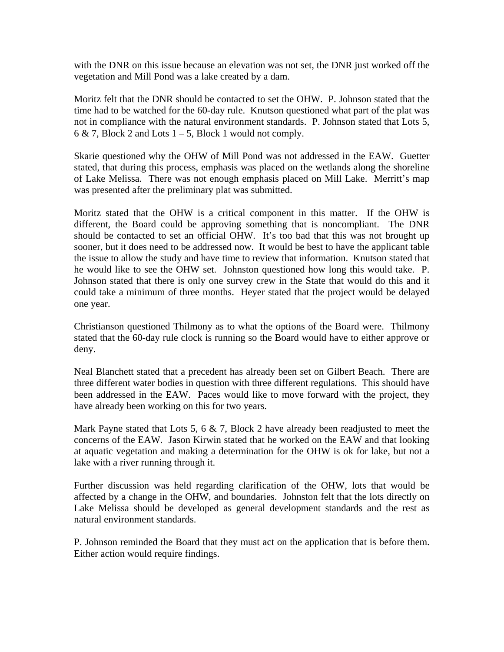with the DNR on this issue because an elevation was not set, the DNR just worked off the vegetation and Mill Pond was a lake created by a dam.

Moritz felt that the DNR should be contacted to set the OHW. P. Johnson stated that the time had to be watched for the 60-day rule. Knutson questioned what part of the plat was not in compliance with the natural environment standards. P. Johnson stated that Lots 5, 6 & 7, Block 2 and Lots  $1 - 5$ , Block 1 would not comply.

Skarie questioned why the OHW of Mill Pond was not addressed in the EAW. Guetter stated, that during this process, emphasis was placed on the wetlands along the shoreline of Lake Melissa. There was not enough emphasis placed on Mill Lake. Merritt's map was presented after the preliminary plat was submitted.

Moritz stated that the OHW is a critical component in this matter. If the OHW is different, the Board could be approving something that is noncompliant. The DNR should be contacted to set an official OHW. It's too bad that this was not brought up sooner, but it does need to be addressed now. It would be best to have the applicant table the issue to allow the study and have time to review that information. Knutson stated that he would like to see the OHW set. Johnston questioned how long this would take. P. Johnson stated that there is only one survey crew in the State that would do this and it could take a minimum of three months. Heyer stated that the project would be delayed one year.

Christianson questioned Thilmony as to what the options of the Board were. Thilmony stated that the 60-day rule clock is running so the Board would have to either approve or deny.

Neal Blanchett stated that a precedent has already been set on Gilbert Beach. There are three different water bodies in question with three different regulations. This should have been addressed in the EAW. Paces would like to move forward with the project, they have already been working on this for two years.

Mark Payne stated that Lots 5, 6  $\&$  7, Block 2 have already been readjusted to meet the concerns of the EAW. Jason Kirwin stated that he worked on the EAW and that looking at aquatic vegetation and making a determination for the OHW is ok for lake, but not a lake with a river running through it.

Further discussion was held regarding clarification of the OHW, lots that would be affected by a change in the OHW, and boundaries. Johnston felt that the lots directly on Lake Melissa should be developed as general development standards and the rest as natural environment standards.

P. Johnson reminded the Board that they must act on the application that is before them. Either action would require findings.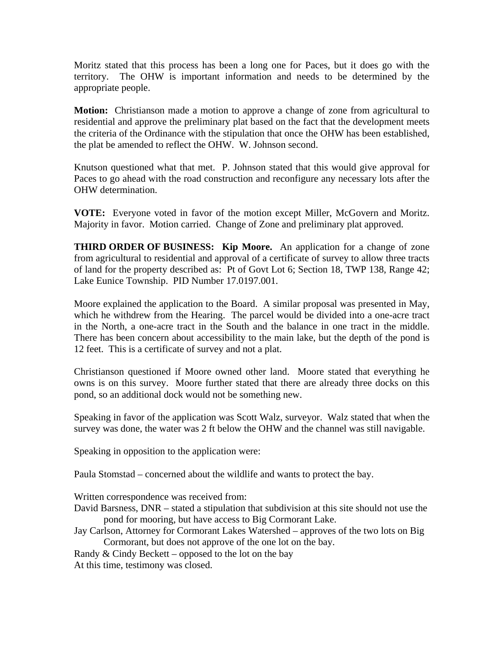Moritz stated that this process has been a long one for Paces, but it does go with the territory. The OHW is important information and needs to be determined by the appropriate people.

**Motion:** Christianson made a motion to approve a change of zone from agricultural to residential and approve the preliminary plat based on the fact that the development meets the criteria of the Ordinance with the stipulation that once the OHW has been established, the plat be amended to reflect the OHW. W. Johnson second.

Knutson questioned what that met. P. Johnson stated that this would give approval for Paces to go ahead with the road construction and reconfigure any necessary lots after the OHW determination.

**VOTE:** Everyone voted in favor of the motion except Miller, McGovern and Moritz. Majority in favor. Motion carried. Change of Zone and preliminary plat approved.

**THIRD ORDER OF BUSINESS: Kip Moore.** An application for a change of zone from agricultural to residential and approval of a certificate of survey to allow three tracts of land for the property described as: Pt of Govt Lot 6; Section 18, TWP 138, Range 42; Lake Eunice Township. PID Number 17.0197.001.

Moore explained the application to the Board. A similar proposal was presented in May, which he withdrew from the Hearing. The parcel would be divided into a one-acre tract in the North, a one-acre tract in the South and the balance in one tract in the middle. There has been concern about accessibility to the main lake, but the depth of the pond is 12 feet. This is a certificate of survey and not a plat.

Christianson questioned if Moore owned other land. Moore stated that everything he owns is on this survey. Moore further stated that there are already three docks on this pond, so an additional dock would not be something new.

Speaking in favor of the application was Scott Walz, surveyor. Walz stated that when the survey was done, the water was 2 ft below the OHW and the channel was still navigable.

Speaking in opposition to the application were:

Paula Stomstad – concerned about the wildlife and wants to protect the bay.

Written correspondence was received from:

- David Barsness, DNR stated a stipulation that subdivision at this site should not use the pond for mooring, but have access to Big Cormorant Lake.
- Jay Carlson, Attorney for Cormorant Lakes Watershed approves of the two lots on Big Cormorant, but does not approve of the one lot on the bay.
- Randy  $&$  Cindy Beckett opposed to the lot on the bay

At this time, testimony was closed.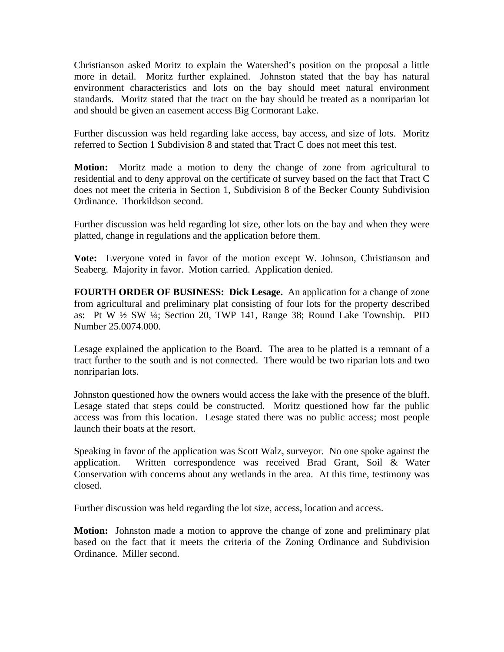Christianson asked Moritz to explain the Watershed's position on the proposal a little more in detail. Moritz further explained. Johnston stated that the bay has natural environment characteristics and lots on the bay should meet natural environment standards. Moritz stated that the tract on the bay should be treated as a nonriparian lot and should be given an easement access Big Cormorant Lake.

Further discussion was held regarding lake access, bay access, and size of lots. Moritz referred to Section 1 Subdivision 8 and stated that Tract C does not meet this test.

**Motion:** Moritz made a motion to deny the change of zone from agricultural to residential and to deny approval on the certificate of survey based on the fact that Tract C does not meet the criteria in Section 1, Subdivision 8 of the Becker County Subdivision Ordinance. Thorkildson second.

Further discussion was held regarding lot size, other lots on the bay and when they were platted, change in regulations and the application before them.

**Vote:** Everyone voted in favor of the motion except W. Johnson, Christianson and Seaberg. Majority in favor. Motion carried. Application denied.

**FOURTH ORDER OF BUSINESS: Dick Lesage.** An application for a change of zone from agricultural and preliminary plat consisting of four lots for the property described as: Pt W ½ SW ¼; Section 20, TWP 141, Range 38; Round Lake Township. PID Number 25.0074.000.

Lesage explained the application to the Board. The area to be platted is a remnant of a tract further to the south and is not connected. There would be two riparian lots and two nonriparian lots.

Johnston questioned how the owners would access the lake with the presence of the bluff. Lesage stated that steps could be constructed. Moritz questioned how far the public access was from this location. Lesage stated there was no public access; most people launch their boats at the resort.

Speaking in favor of the application was Scott Walz, surveyor. No one spoke against the application. Written correspondence was received Brad Grant, Soil & Water Conservation with concerns about any wetlands in the area. At this time, testimony was closed.

Further discussion was held regarding the lot size, access, location and access.

**Motion:** Johnston made a motion to approve the change of zone and preliminary plat based on the fact that it meets the criteria of the Zoning Ordinance and Subdivision Ordinance. Miller second.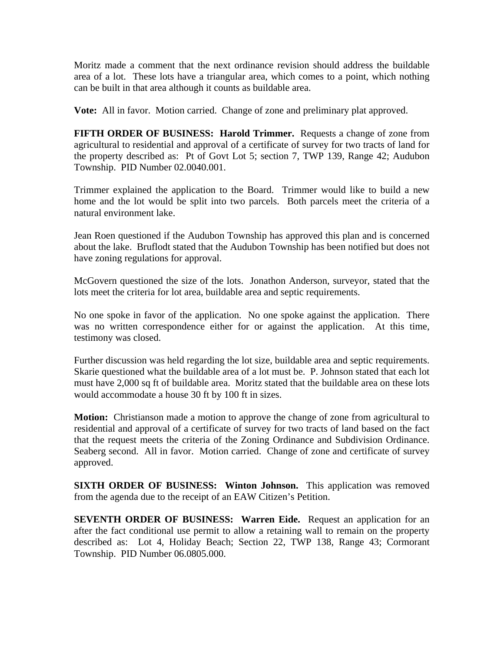Moritz made a comment that the next ordinance revision should address the buildable area of a lot. These lots have a triangular area, which comes to a point, which nothing can be built in that area although it counts as buildable area.

**Vote:** All in favor. Motion carried. Change of zone and preliminary plat approved.

**FIFTH ORDER OF BUSINESS: Harold Trimmer.** Requests a change of zone from agricultural to residential and approval of a certificate of survey for two tracts of land for the property described as: Pt of Govt Lot 5; section 7, TWP 139, Range 42; Audubon Township. PID Number 02.0040.001.

Trimmer explained the application to the Board. Trimmer would like to build a new home and the lot would be split into two parcels. Both parcels meet the criteria of a natural environment lake.

Jean Roen questioned if the Audubon Township has approved this plan and is concerned about the lake. Bruflodt stated that the Audubon Township has been notified but does not have zoning regulations for approval.

McGovern questioned the size of the lots. Jonathon Anderson, surveyor, stated that the lots meet the criteria for lot area, buildable area and septic requirements.

No one spoke in favor of the application. No one spoke against the application. There was no written correspondence either for or against the application. At this time, testimony was closed.

Further discussion was held regarding the lot size, buildable area and septic requirements. Skarie questioned what the buildable area of a lot must be. P. Johnson stated that each lot must have 2,000 sq ft of buildable area. Moritz stated that the buildable area on these lots would accommodate a house 30 ft by 100 ft in sizes.

**Motion:** Christianson made a motion to approve the change of zone from agricultural to residential and approval of a certificate of survey for two tracts of land based on the fact that the request meets the criteria of the Zoning Ordinance and Subdivision Ordinance. Seaberg second. All in favor. Motion carried. Change of zone and certificate of survey approved.

**SIXTH ORDER OF BUSINESS: Winton Johnson.** This application was removed from the agenda due to the receipt of an EAW Citizen's Petition.

**SEVENTH ORDER OF BUSINESS: Warren Eide.** Request an application for an after the fact conditional use permit to allow a retaining wall to remain on the property described as: Lot 4, Holiday Beach; Section 22, TWP 138, Range 43; Cormorant Township. PID Number 06.0805.000.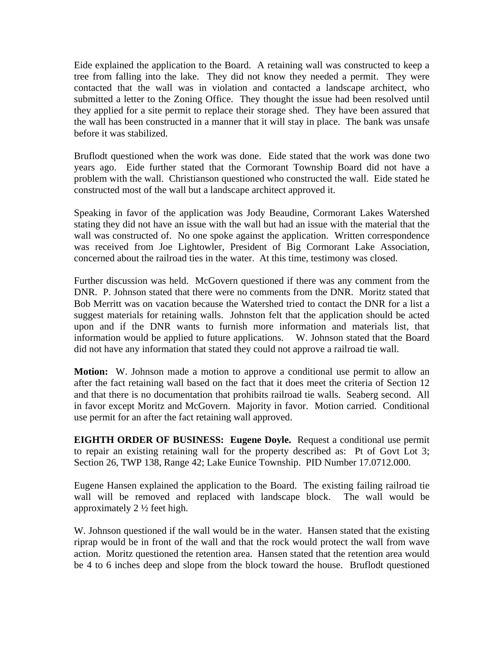Eide explained the application to the Board. A retaining wall was constructed to keep a tree from falling into the lake. They did not know they needed a permit. They were contacted that the wall was in violation and contacted a landscape architect, who submitted a letter to the Zoning Office. They thought the issue had been resolved until they applied for a site permit to replace their storage shed. They have been assured that the wall has been constructed in a manner that it will stay in place. The bank was unsafe before it was stabilized.

Bruflodt questioned when the work was done. Eide stated that the work was done two years ago. Eide further stated that the Cormorant Township Board did not have a problem with the wall. Christianson questioned who constructed the wall. Eide stated he constructed most of the wall but a landscape architect approved it.

Speaking in favor of the application was Jody Beaudine, Cormorant Lakes Watershed stating they did not have an issue with the wall but had an issue with the material that the wall was constructed of. No one spoke against the application. Written correspondence was received from Joe Lightowler, President of Big Cormorant Lake Association, concerned about the railroad ties in the water. At this time, testimony was closed.

Further discussion was held. McGovern questioned if there was any comment from the DNR. P. Johnson stated that there were no comments from the DNR. Moritz stated that Bob Merritt was on vacation because the Watershed tried to contact the DNR for a list a suggest materials for retaining walls. Johnston felt that the application should be acted upon and if the DNR wants to furnish more information and materials list, that information would be applied to future applications. W. Johnson stated that the Board did not have any information that stated they could not approve a railroad tie wall.

**Motion:** W. Johnson made a motion to approve a conditional use permit to allow an after the fact retaining wall based on the fact that it does meet the criteria of Section 12 and that there is no documentation that prohibits railroad tie walls. Seaberg second. All in favor except Moritz and McGovern. Majority in favor. Motion carried. Conditional use permit for an after the fact retaining wall approved.

**EIGHTH ORDER OF BUSINESS: Eugene Doyle.** Request a conditional use permit to repair an existing retaining wall for the property described as: Pt of Govt Lot 3; Section 26, TWP 138, Range 42; Lake Eunice Township. PID Number 17.0712.000.

Eugene Hansen explained the application to the Board. The existing failing railroad tie wall will be removed and replaced with landscape block. The wall would be approximately 2 ½ feet high.

W. Johnson questioned if the wall would be in the water. Hansen stated that the existing riprap would be in front of the wall and that the rock would protect the wall from wave action. Moritz questioned the retention area. Hansen stated that the retention area would be 4 to 6 inches deep and slope from the block toward the house. Bruflodt questioned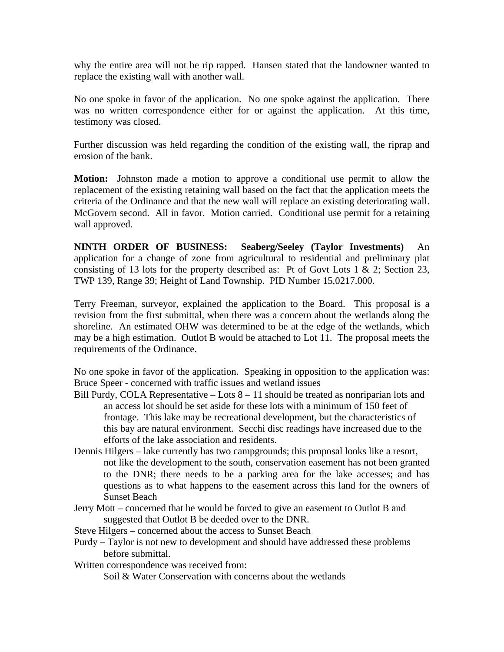why the entire area will not be rip rapped. Hansen stated that the landowner wanted to replace the existing wall with another wall.

No one spoke in favor of the application. No one spoke against the application. There was no written correspondence either for or against the application. At this time, testimony was closed.

Further discussion was held regarding the condition of the existing wall, the riprap and erosion of the bank.

**Motion:** Johnston made a motion to approve a conditional use permit to allow the replacement of the existing retaining wall based on the fact that the application meets the criteria of the Ordinance and that the new wall will replace an existing deteriorating wall. McGovern second. All in favor. Motion carried. Conditional use permit for a retaining wall approved.

**NINTH ORDER OF BUSINESS: Seaberg/Seeley (Taylor Investments)** An application for a change of zone from agricultural to residential and preliminary plat consisting of 13 lots for the property described as: Pt of Govt Lots 1  $\&$  2; Section 23, TWP 139, Range 39; Height of Land Township. PID Number 15.0217.000.

Terry Freeman, surveyor, explained the application to the Board. This proposal is a revision from the first submittal, when there was a concern about the wetlands along the shoreline. An estimated OHW was determined to be at the edge of the wetlands, which may be a high estimation. Outlot B would be attached to Lot 11. The proposal meets the requirements of the Ordinance.

No one spoke in favor of the application. Speaking in opposition to the application was: Bruce Speer - concerned with traffic issues and wetland issues

- Bill Purdy, COLA Representative Lots 8 11 should be treated as nonriparian lots and an access lot should be set aside for these lots with a minimum of 150 feet of frontage. This lake may be recreational development, but the characteristics of this bay are natural environment. Secchi disc readings have increased due to the efforts of the lake association and residents.
- Dennis Hilgers lake currently has two campgrounds; this proposal looks like a resort, not like the development to the south, conservation easement has not been granted to the DNR; there needs to be a parking area for the lake accesses; and has questions as to what happens to the easement across this land for the owners of Sunset Beach
- Jerry Mott concerned that he would be forced to give an easement to Outlot B and suggested that Outlot B be deeded over to the DNR.
- Steve Hilgers concerned about the access to Sunset Beach
- Purdy Taylor is not new to development and should have addressed these problems before submittal.
- Written correspondence was received from:

Soil & Water Conservation with concerns about the wetlands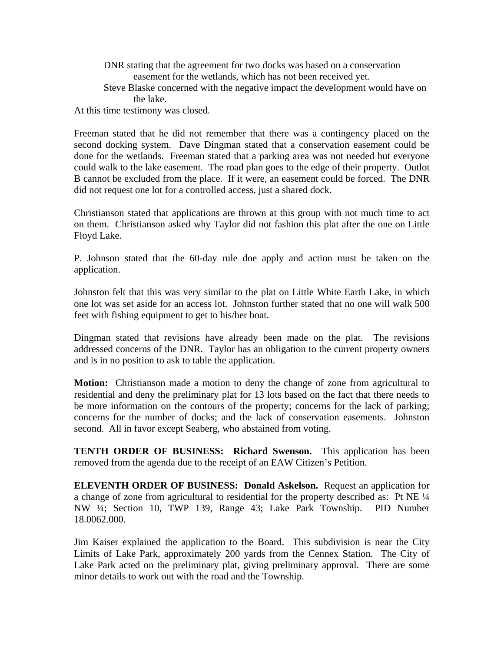DNR stating that the agreement for two docks was based on a conservation easement for the wetlands, which has not been received yet.

 Steve Blaske concerned with the negative impact the development would have on the lake.

At this time testimony was closed.

Freeman stated that he did not remember that there was a contingency placed on the second docking system. Dave Dingman stated that a conservation easement could be done for the wetlands. Freeman stated that a parking area was not needed but everyone could walk to the lake easement. The road plan goes to the edge of their property. Outlot B cannot be excluded from the place. If it were, an easement could be forced. The DNR did not request one lot for a controlled access, just a shared dock.

Christianson stated that applications are thrown at this group with not much time to act on them. Christianson asked why Taylor did not fashion this plat after the one on Little Floyd Lake.

P. Johnson stated that the 60-day rule doe apply and action must be taken on the application.

Johnston felt that this was very similar to the plat on Little White Earth Lake, in which one lot was set aside for an access lot. Johnston further stated that no one will walk 500 feet with fishing equipment to get to his/her boat.

Dingman stated that revisions have already been made on the plat. The revisions addressed concerns of the DNR. Taylor has an obligation to the current property owners and is in no position to ask to table the application.

**Motion:** Christianson made a motion to deny the change of zone from agricultural to residential and deny the preliminary plat for 13 lots based on the fact that there needs to be more information on the contours of the property; concerns for the lack of parking; concerns for the number of docks; and the lack of conservation easements. Johnston second. All in favor except Seaberg, who abstained from voting.

**TENTH ORDER OF BUSINESS: Richard Swenson.** This application has been removed from the agenda due to the receipt of an EAW Citizen's Petition.

**ELEVENTH ORDER OF BUSINESS: Donald Askelson.** Request an application for a change of zone from agricultural to residential for the property described as: Pt NE ¼ NW ¼; Section 10, TWP 139, Range 43; Lake Park Township. PID Number 18.0062.000.

Jim Kaiser explained the application to the Board. This subdivision is near the City Limits of Lake Park, approximately 200 yards from the Cennex Station. The City of Lake Park acted on the preliminary plat, giving preliminary approval. There are some minor details to work out with the road and the Township.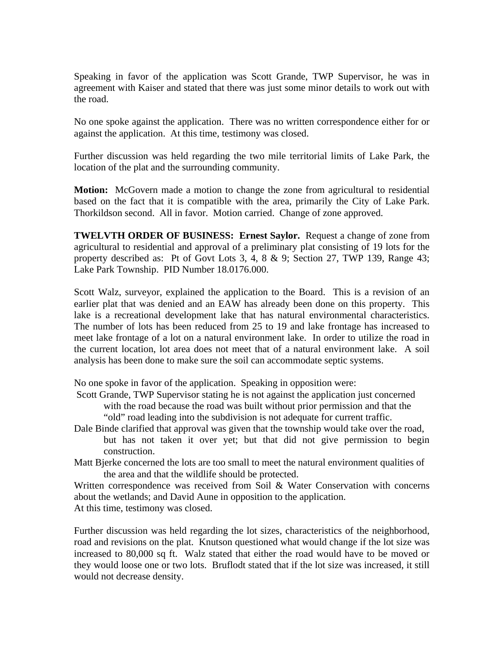Speaking in favor of the application was Scott Grande, TWP Supervisor, he was in agreement with Kaiser and stated that there was just some minor details to work out with the road.

No one spoke against the application. There was no written correspondence either for or against the application. At this time, testimony was closed.

Further discussion was held regarding the two mile territorial limits of Lake Park, the location of the plat and the surrounding community.

**Motion:** McGovern made a motion to change the zone from agricultural to residential based on the fact that it is compatible with the area, primarily the City of Lake Park. Thorkildson second. All in favor. Motion carried. Change of zone approved.

**TWELVTH ORDER OF BUSINESS: Ernest Saylor.** Request a change of zone from agricultural to residential and approval of a preliminary plat consisting of 19 lots for the property described as: Pt of Govt Lots 3, 4, 8 & 9; Section 27, TWP 139, Range 43; Lake Park Township. PID Number 18.0176.000.

Scott Walz, surveyor, explained the application to the Board. This is a revision of an earlier plat that was denied and an EAW has already been done on this property. This lake is a recreational development lake that has natural environmental characteristics. The number of lots has been reduced from 25 to 19 and lake frontage has increased to meet lake frontage of a lot on a natural environment lake. In order to utilize the road in the current location, lot area does not meet that of a natural environment lake. A soil analysis has been done to make sure the soil can accommodate septic systems.

No one spoke in favor of the application. Speaking in opposition were:

 Scott Grande, TWP Supervisor stating he is not against the application just concerned with the road because the road was built without prior permission and that the

- "old" road leading into the subdivision is not adequate for current traffic.
- Dale Binde clarified that approval was given that the township would take over the road, but has not taken it over yet; but that did not give permission to begin construction.

Matt Bjerke concerned the lots are too small to meet the natural environment qualities of the area and that the wildlife should be protected.

Written correspondence was received from Soil & Water Conservation with concerns about the wetlands; and David Aune in opposition to the application. At this time, testimony was closed.

Further discussion was held regarding the lot sizes, characteristics of the neighborhood, road and revisions on the plat. Knutson questioned what would change if the lot size was increased to 80,000 sq ft. Walz stated that either the road would have to be moved or they would loose one or two lots. Bruflodt stated that if the lot size was increased, it still would not decrease density.